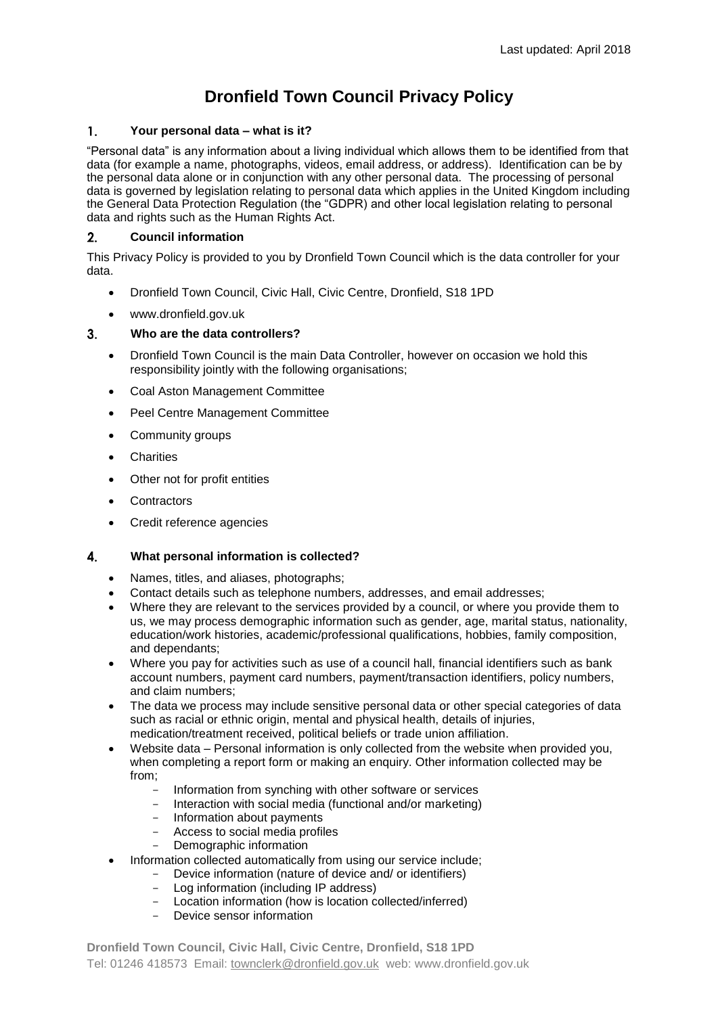# **Dronfield Town Council Privacy Policy**

#### $1<sub>1</sub>$ **Your personal data – what is it?**

"Personal data" is any information about a living individual which allows them to be identified from that data (for example a name, photographs, videos, email address, or address). Identification can be by the personal data alone or in conjunction with any other personal data. The processing of personal data is governed by legislation relating to personal data which applies in the United Kingdom including the General Data Protection Regulation (the "GDPR) and other local legislation relating to personal data and rights such as the Human Rights Act.

# $2.$ **Council information**

This Privacy Policy is provided to you by Dronfield Town Council which is the data controller for your data.

- Dronfield Town Council, Civic Hall, Civic Centre, Dronfield, S18 1PD
- www.dronfield.gov.uk

# $3.$ **Who are the data controllers?**

- Dronfield Town Council is the main Data Controller, however on occasion we hold this responsibility jointly with the following organisations;
- Coal Aston Management Committee
- Peel Centre Management Committee
- Community groups
- **•** Charities
- Other not for profit entities
- **Contractors**
- Credit reference agencies

#### $\overline{4}$ . **What personal information is collected?**

- Names, titles, and aliases, photographs;
- Contact details such as telephone numbers, addresses, and email addresses;
- Where they are relevant to the services provided by a council, or where you provide them to us, we may process demographic information such as gender, age, marital status, nationality, education/work histories, academic/professional qualifications, hobbies, family composition, and dependants;
- Where you pay for activities such as use of a council hall, financial identifiers such as bank account numbers, payment card numbers, payment/transaction identifiers, policy numbers, and claim numbers;
- The data we process may include sensitive personal data or other special categories of data such as racial or ethnic origin, mental and physical health, details of injuries, medication/treatment received, political beliefs or trade union affiliation.
- Website data Personal information is only collected from the website when provided you, when completing a report form or making an enquiry. Other information collected may be from;
	- Information from synching with other software or services
	- Interaction with social media (functional and/or marketing)
	- Information about payments
	- Access to social media profiles
	- Demographic information
- Information collected automatically from using our service include;
	- Device information (nature of device and/ or identifiers)
	- Log information (including IP address)
	- Location information (how is location collected/inferred)
	- Device sensor information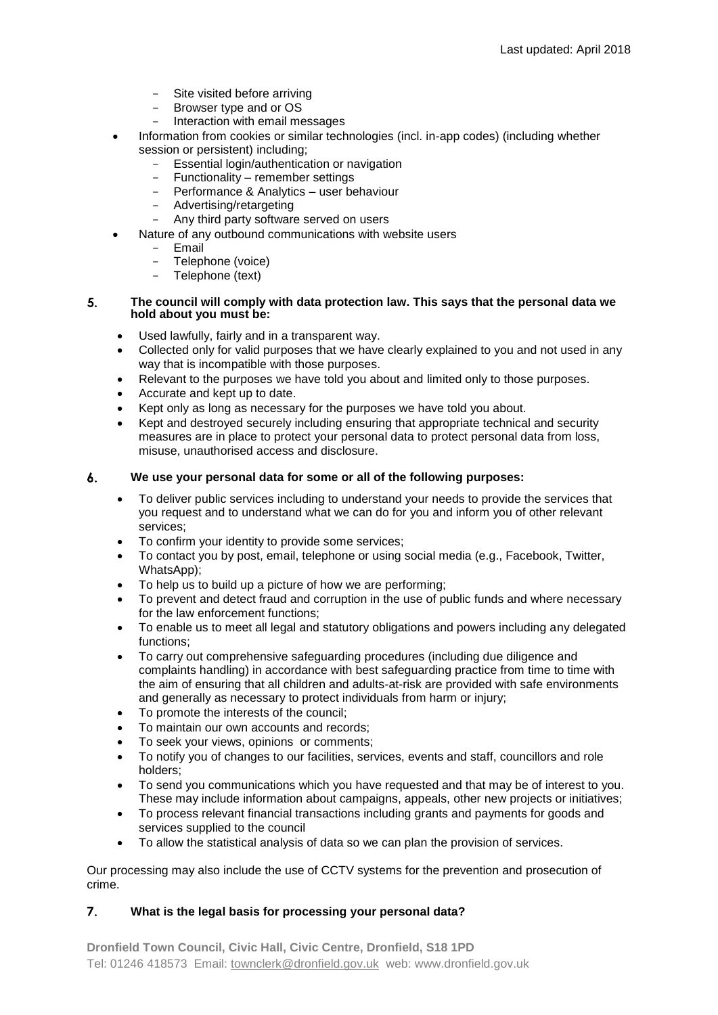- Site visited before arriving
- Browser type and or OS
- Interaction with email messages
- Information from cookies or similar technologies (incl. in-app codes) (including whether session or persistent) including;
	- Essential login/authentication or navigation
	- Functionality remember settings
	- Performance & Analytics user behaviour
	- Advertising/retargeting
	- Any third party software served on users
	- Nature of any outbound communications with website users
		- Email
		- Telephone (voice)
		- Telephone (text)

# $5<sub>1</sub>$ **The council will comply with data protection law. This says that the personal data we hold about you must be:**

- Used lawfully, fairly and in a transparent way.
- Collected only for valid purposes that we have clearly explained to you and not used in any way that is incompatible with those purposes.
- Relevant to the purposes we have told you about and limited only to those purposes.
- Accurate and kept up to date.
- Kept only as long as necessary for the purposes we have told you about.
- Kept and destroyed securely including ensuring that appropriate technical and security measures are in place to protect your personal data to protect personal data from loss, misuse, unauthorised access and disclosure.

#### 6. **We use your personal data for some or all of the following purposes:**

- To deliver public services including to understand your needs to provide the services that you request and to understand what we can do for you and inform you of other relevant services;
- To confirm your identity to provide some services;
- To contact you by post, email, telephone or using social media (e.g., Facebook, Twitter, WhatsApp);
- To help us to build up a picture of how we are performing;
- To prevent and detect fraud and corruption in the use of public funds and where necessary for the law enforcement functions;
- To enable us to meet all legal and statutory obligations and powers including any delegated functions;
- To carry out comprehensive safeguarding procedures (including due diligence and complaints handling) in accordance with best safeguarding practice from time to time with the aim of ensuring that all children and adults-at-risk are provided with safe environments and generally as necessary to protect individuals from harm or injury;
- To promote the interests of the council;
- To maintain our own accounts and records;
- To seek your views, opinions or comments;
- To notify you of changes to our facilities, services, events and staff, councillors and role holders;
- To send you communications which you have requested and that may be of interest to you. These may include information about campaigns, appeals, other new projects or initiatives;
- To process relevant financial transactions including grants and payments for goods and services supplied to the council
- To allow the statistical analysis of data so we can plan the provision of services.

Our processing may also include the use of CCTV systems for the prevention and prosecution of crime.

# $\overline{7}$ . **What is the legal basis for processing your personal data?**

**Dronfield Town Council, Civic Hall, Civic Centre, Dronfield, S18 1PD** Tel: 01246 418573 Email: [townclerk@dronfield.gov.uk](mailto:townclerk@dronfield.gov.uk) web: www.dronfield.gov.uk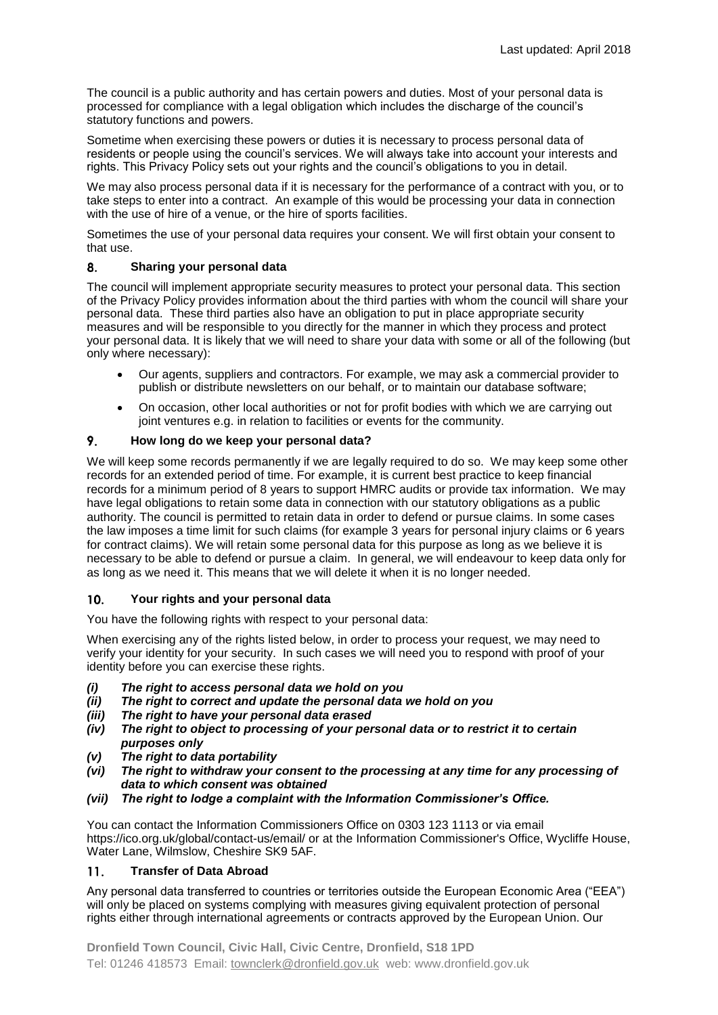The council is a public authority and has certain powers and duties. Most of your personal data is processed for compliance with a legal obligation which includes the discharge of the council's statutory functions and powers.

Sometime when exercising these powers or duties it is necessary to process personal data of residents or people using the council's services. We will always take into account your interests and rights. This Privacy Policy sets out your rights and the council's obligations to you in detail.

We may also process personal data if it is necessary for the performance of a contract with you, or to take steps to enter into a contract. An example of this would be processing your data in connection with the use of hire of a venue, or the hire of sports facilities.

Sometimes the use of your personal data requires your consent. We will first obtain your consent to that use.

#### 8. **Sharing your personal data**

The council will implement appropriate security measures to protect your personal data. This section of the Privacy Policy provides information about the third parties with whom the council will share your personal data. These third parties also have an obligation to put in place appropriate security measures and will be responsible to you directly for the manner in which they process and protect your personal data. It is likely that we will need to share your data with some or all of the following (but only where necessary):

- Our agents, suppliers and contractors. For example, we may ask a commercial provider to publish or distribute newsletters on our behalf, or to maintain our database software;
- On occasion, other local authorities or not for profit bodies with which we are carrying out joint ventures e.g. in relation to facilities or events for the community.

#### 9. **How long do we keep your personal data?**

We will keep some records permanently if we are legally required to do so. We may keep some other records for an extended period of time. For example, it is current best practice to keep financial records for a minimum period of 8 years to support HMRC audits or provide tax information. We may have legal obligations to retain some data in connection with our statutory obligations as a public authority. The council is permitted to retain data in order to defend or pursue claims. In some cases the law imposes a time limit for such claims (for example 3 years for personal injury claims or 6 years for contract claims). We will retain some personal data for this purpose as long as we believe it is necessary to be able to defend or pursue a claim. In general, we will endeavour to keep data only for as long as we need it. This means that we will delete it when it is no longer needed.

# $10.$ **Your rights and your personal data**

You have the following rights with respect to your personal data:

When exercising any of the rights listed below, in order to process your request, we may need to verify your identity for your security. In such cases we will need you to respond with proof of your identity before you can exercise these rights.

- *(i) The right to access personal data we hold on you*
- *(ii) The right to correct and update the personal data we hold on you*
- *(iii) The right to have your personal data erased*
- *(iv) The right to object to processing of your personal data or to restrict it to certain purposes only*
- *(v) The right to data portability*
- *(vi) The right to withdraw your consent to the processing at any time for any processing of data to which consent was obtained*
- *(vii) The right to lodge a complaint with the Information Commissioner's Office.*

You can contact the Information Commissioners Office on 0303 123 1113 or via email https://ico.org.uk/global/contact-us/email/ or at the Information Commissioner's Office, Wycliffe House, Water Lane, Wilmslow, Cheshire SK9 5AF.

#### $11.$ **Transfer of Data Abroad**

Any personal data transferred to countries or territories outside the European Economic Area ("EEA") will only be placed on systems complying with measures giving equivalent protection of personal rights either through international agreements or contracts approved by the European Union. Our